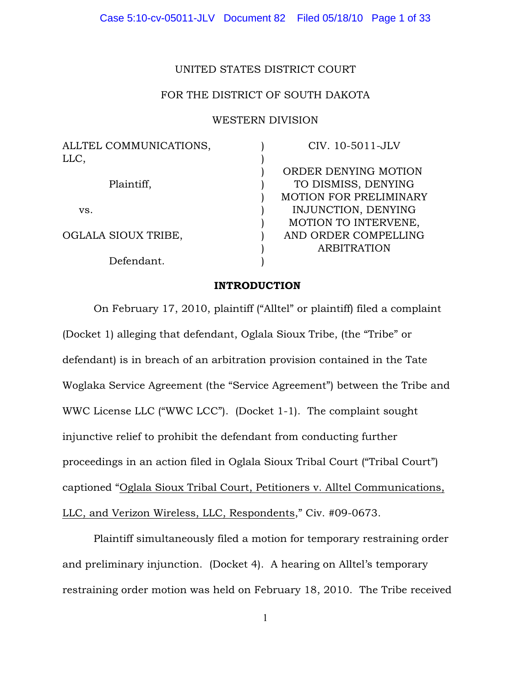# UNITED STATES DISTRICT COURT

# FOR THE DISTRICT OF SOUTH DAKOTA

# WESTERN DIVISION

| ALLTEL COMMUNICATIONS, | CIV. 10-5011-JLV              |
|------------------------|-------------------------------|
| LLC,                   |                               |
|                        | ORDER DENYING MOTION          |
| Plaintiff,             | TO DISMISS, DENYING           |
|                        | <b>MOTION FOR PRELIMINARY</b> |
| VS.                    | INJUNCTION, DENYING           |
|                        | MOTION TO INTERVENE,          |
| OGLALA SIOUX TRIBE,    | AND ORDER COMPELLING          |
|                        | <b>ARBITRATION</b>            |
| Defendant.             |                               |

### INTRODUCTION

On February 17, 2010, plaintiff ("Alltel" or plaintiff) filed a complaint (Docket 1) alleging that defendant, Oglala Sioux Tribe, (the "Tribe" or defendant) is in breach of an arbitration provision contained in the Tate Woglaka Service Agreement (the "Service Agreement") between the Tribe and WWC License LLC ("WWC LCC"). (Docket 1-1). The complaint sought injunctive relief to prohibit the defendant from conducting further proceedings in an action filed in Oglala Sioux Tribal Court ("Tribal Court") captioned "Oglala Sioux Tribal Court, Petitioners v. Alltel Communications, LLC, and Verizon Wireless, LLC, Respondents," Civ. #09-0673.

Plaintiff simultaneously filed a motion for temporary restraining order and preliminary injunction. (Docket 4). A hearing on Alltel's temporary restraining order motion was held on February 18, 2010. The Tribe received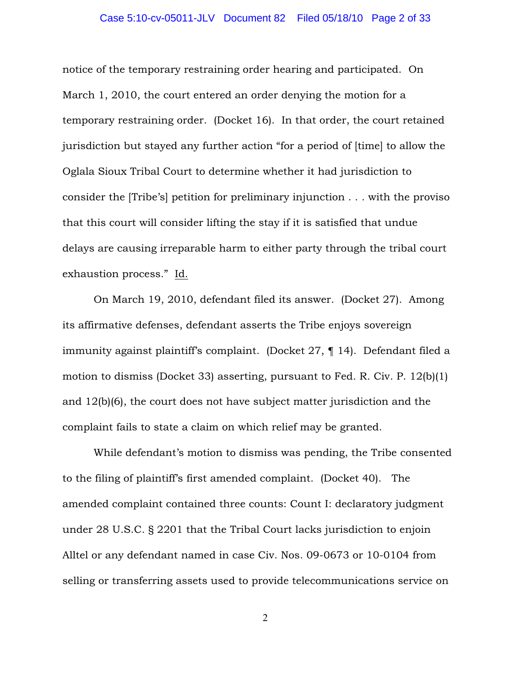### Case 5:10-cv-05011-JLV Document 82 Filed 05/18/10 Page 2 of 33

notice of the temporary restraining order hearing and participated. On March 1, 2010, the court entered an order denying the motion for a temporary restraining order. (Docket 16). In that order, the court retained jurisdiction but stayed any further action "for a period of [time] to allow the Oglala Sioux Tribal Court to determine whether it had jurisdiction to consider the [Tribe's] petition for preliminary injunction . . . with the proviso that this court will consider lifting the stay if it is satisfied that undue delays are causing irreparable harm to either party through the tribal court exhaustion process." Id.

On March 19, 2010, defendant filed its answer. (Docket 27). Among its affirmative defenses, defendant asserts the Tribe enjoys sovereign immunity against plaintiff's complaint. (Docket 27, ¶ 14). Defendant filed a motion to dismiss (Docket 33) asserting, pursuant to Fed. R. Civ. P. 12(b)(1) and 12(b)(6), the court does not have subject matter jurisdiction and the complaint fails to state a claim on which relief may be granted.

While defendant's motion to dismiss was pending, the Tribe consented to the filing of plaintiff's first amended complaint. (Docket 40). The amended complaint contained three counts: Count I: declaratory judgment under 28 U.S.C. § 2201 that the Tribal Court lacks jurisdiction to enjoin Alltel or any defendant named in case Civ. Nos. 09-0673 or 10-0104 from selling or transferring assets used to provide telecommunications service on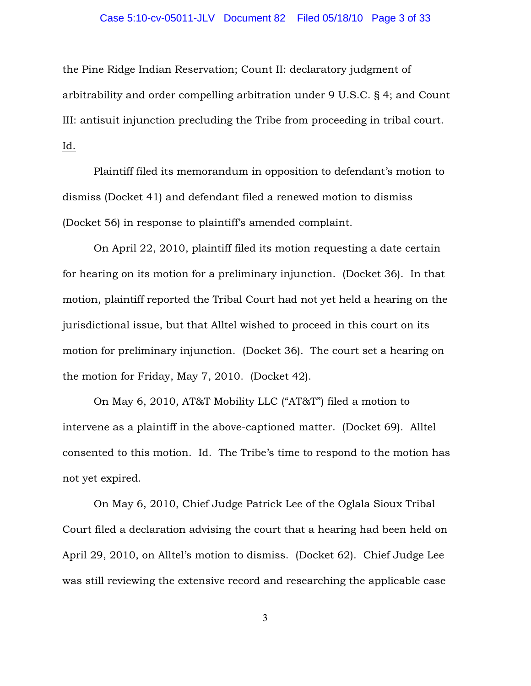### Case 5:10-cv-05011-JLV Document 82 Filed 05/18/10 Page 3 of 33

the Pine Ridge Indian Reservation; Count II: declaratory judgment of arbitrability and order compelling arbitration under 9 U.S.C. § 4; and Count III: antisuit injunction precluding the Tribe from proceeding in tribal court. Id.

Plaintiff filed its memorandum in opposition to defendant's motion to dismiss (Docket 41) and defendant filed a renewed motion to dismiss (Docket 56) in response to plaintiff's amended complaint.

On April 22, 2010, plaintiff filed its motion requesting a date certain for hearing on its motion for a preliminary injunction. (Docket 36). In that motion, plaintiff reported the Tribal Court had not yet held a hearing on the jurisdictional issue, but that Alltel wished to proceed in this court on its motion for preliminary injunction. (Docket 36). The court set a hearing on the motion for Friday, May 7, 2010. (Docket 42).

On May 6, 2010, AT&T Mobility LLC ("AT&T") filed a motion to intervene as a plaintiff in the above-captioned matter. (Docket 69). Alltel consented to this motion. Id. The Tribe's time to respond to the motion has not yet expired.

On May 6, 2010, Chief Judge Patrick Lee of the Oglala Sioux Tribal Court filed a declaration advising the court that a hearing had been held on April 29, 2010, on Alltel's motion to dismiss. (Docket 62). Chief Judge Lee was still reviewing the extensive record and researching the applicable case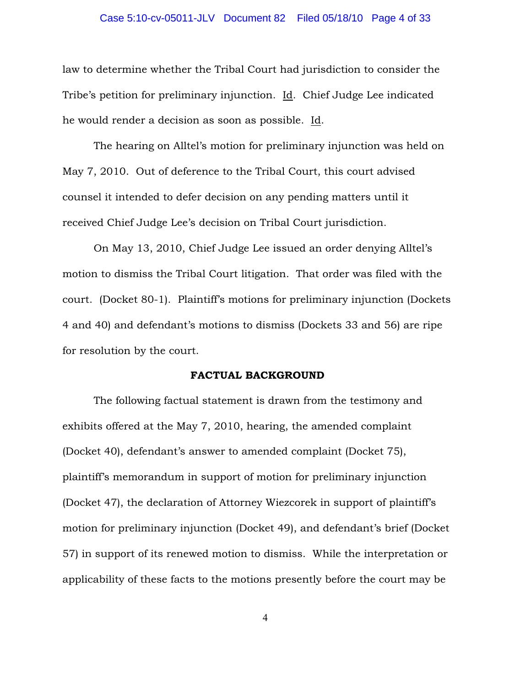### Case 5:10-cv-05011-JLV Document 82 Filed 05/18/10 Page 4 of 33

law to determine whether the Tribal Court had jurisdiction to consider the Tribe's petition for preliminary injunction. Id. Chief Judge Lee indicated he would render a decision as soon as possible. Id.

The hearing on Alltel's motion for preliminary injunction was held on May 7, 2010. Out of deference to the Tribal Court, this court advised counsel it intended to defer decision on any pending matters until it received Chief Judge Lee's decision on Tribal Court jurisdiction.

On May 13, 2010, Chief Judge Lee issued an order denying Alltel's motion to dismiss the Tribal Court litigation. That order was filed with the court. (Docket 80-1). Plaintiff's motions for preliminary injunction (Dockets 4 and 40) and defendant's motions to dismiss (Dockets 33 and 56) are ripe for resolution by the court.

#### FACTUAL BACKGROUND

The following factual statement is drawn from the testimony and exhibits offered at the May 7, 2010, hearing, the amended complaint (Docket 40), defendant's answer to amended complaint (Docket 75), plaintiff's memorandum in support of motion for preliminary injunction (Docket 47), the declaration of Attorney Wiezcorek in support of plaintiff's motion for preliminary injunction (Docket 49), and defendant's brief (Docket 57) in support of its renewed motion to dismiss. While the interpretation or applicability of these facts to the motions presently before the court may be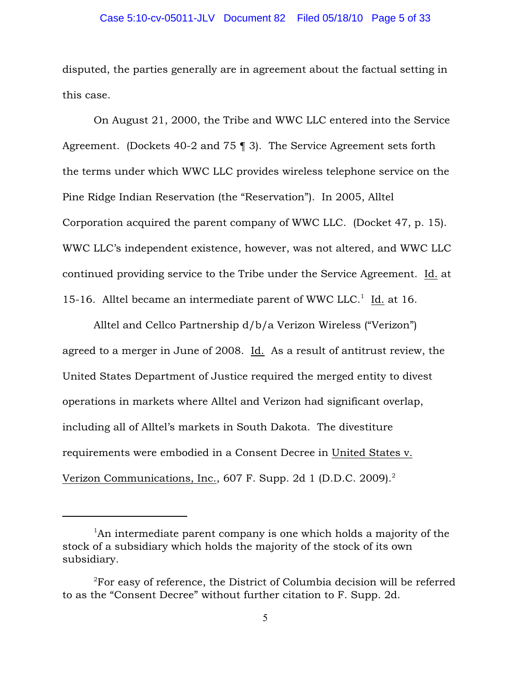### Case 5:10-cv-05011-JLV Document 82 Filed 05/18/10 Page 5 of 33

disputed, the parties generally are in agreement about the factual setting in this case.

On August 21, 2000, the Tribe and WWC LLC entered into the Service Agreement. (Dockets 40-2 and 75 ¶ 3). The Service Agreement sets forth the terms under which WWC LLC provides wireless telephone service on the Pine Ridge Indian Reservation (the "Reservation"). In 2005, Alltel Corporation acquired the parent company of WWC LLC. (Docket 47, p. 15). WWC LLC's independent existence, however, was not altered, and WWC LLC continued providing service to the Tribe under the Service Agreement. Id. at 15-16. Alltel became an intermediate parent of WWC LLC.<sup>1</sup> Id. at 16.

Alltel and Cellco Partnership d/b/a Verizon Wireless ("Verizon") agreed to a merger in June of 2008. Id. As a result of antitrust review, the United States Department of Justice required the merged entity to divest operations in markets where Alltel and Verizon had significant overlap, including all of Alltel's markets in South Dakota. The divestiture requirements were embodied in a Consent Decree in United States v. Verizon Communications, Inc., 607 F. Supp. 2d 1 (D.D.C. 2009).<sup>2</sup>

 $\mu$ <sup>1</sup>An intermediate parent company is one which holds a majority of the stock of a subsidiary which holds the majority of the stock of its own subsidiary.

 $\rm$ <sup>2</sup>For easy of reference, the District of Columbia decision will be referred to as the "Consent Decree" without further citation to F. Supp. 2d.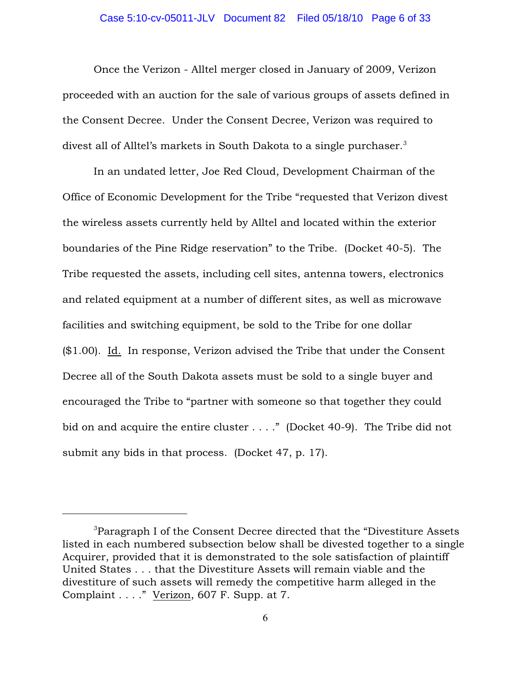### Case 5:10-cv-05011-JLV Document 82 Filed 05/18/10 Page 6 of 33

Once the Verizon - Alltel merger closed in January of 2009, Verizon proceeded with an auction for the sale of various groups of assets defined in the Consent Decree. Under the Consent Decree, Verizon was required to divest all of Alltel's markets in South Dakota to a single purchaser. $^3$ 

In an undated letter, Joe Red Cloud, Development Chairman of the Office of Economic Development for the Tribe "requested that Verizon divest the wireless assets currently held by Alltel and located within the exterior boundaries of the Pine Ridge reservation" to the Tribe. (Docket 40-5). The Tribe requested the assets, including cell sites, antenna towers, electronics and related equipment at a number of different sites, as well as microwave facilities and switching equipment, be sold to the Tribe for one dollar (\$1.00). Id. In response, Verizon advised the Tribe that under the Consent Decree all of the South Dakota assets must be sold to a single buyer and encouraged the Tribe to "partner with someone so that together they could bid on and acquire the entire cluster . . . ." (Docket 40-9). The Tribe did not submit any bids in that process. (Docket 47, p. 17).

<sup>&</sup>lt;sup>3</sup> Paragraph I of the Consent Decree directed that the "Divestiture Assets" listed in each numbered subsection below shall be divested together to a single Acquirer, provided that it is demonstrated to the sole satisfaction of plaintiff United States . . . that the Divestiture Assets will remain viable and the divestiture of such assets will remedy the competitive harm alleged in the Complaint . . . ." Verizon, 607 F. Supp. at 7.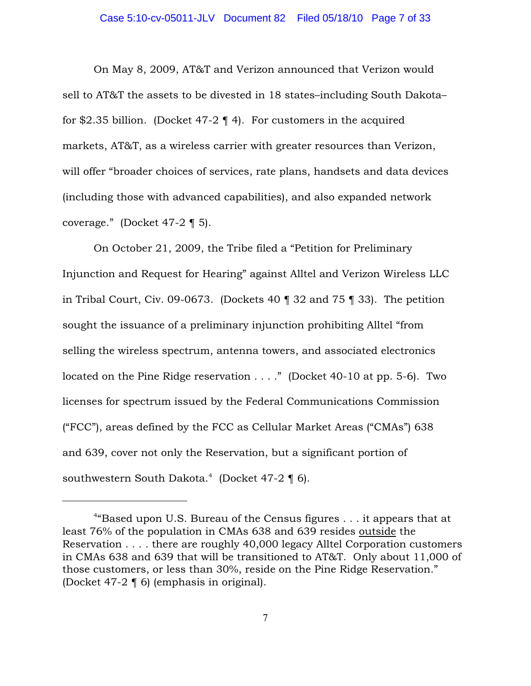### Case 5:10-cv-05011-JLV Document 82 Filed 05/18/10 Page 7 of 33

On May 8, 2009, AT&T and Verizon announced that Verizon would sell to AT&T the assets to be divested in 18 states–including South Dakota– for \$2.35 billion. (Docket 47-2  $\P$  4). For customers in the acquired markets, AT&T, as a wireless carrier with greater resources than Verizon, will offer "broader choices of services, rate plans, handsets and data devices (including those with advanced capabilities), and also expanded network coverage." (Docket 47-2 ¶ 5).

On October 21, 2009, the Tribe filed a "Petition for Preliminary Injunction and Request for Hearing" against Alltel and Verizon Wireless LLC in Tribal Court, Civ. 09-0673. (Dockets 40 ¶ 32 and 75 ¶ 33). The petition sought the issuance of a preliminary injunction prohibiting Alltel "from selling the wireless spectrum, antenna towers, and associated electronics located on the Pine Ridge reservation . . . ." (Docket 40-10 at pp. 5-6). Two licenses for spectrum issued by the Federal Communications Commission ("FCC"), areas defined by the FCC as Cellular Market Areas ("CMAs") 638 and 639, cover not only the Reservation, but a significant portion of southwestern South Dakota.<sup>4</sup> (Docket 47-2  $\P$  6).

<sup>&</sup>lt;sup>4</sup> Based upon U.S. Bureau of the Census figures  $\ldots$  it appears that at least 76% of the population in CMAs 638 and 639 resides outside the Reservation . . . . there are roughly 40,000 legacy Alltel Corporation customers in CMAs 638 and 639 that will be transitioned to AT&T. Only about 11,000 of those customers, or less than 30%, reside on the Pine Ridge Reservation." (Docket 47-2 ¶ 6) (emphasis in original).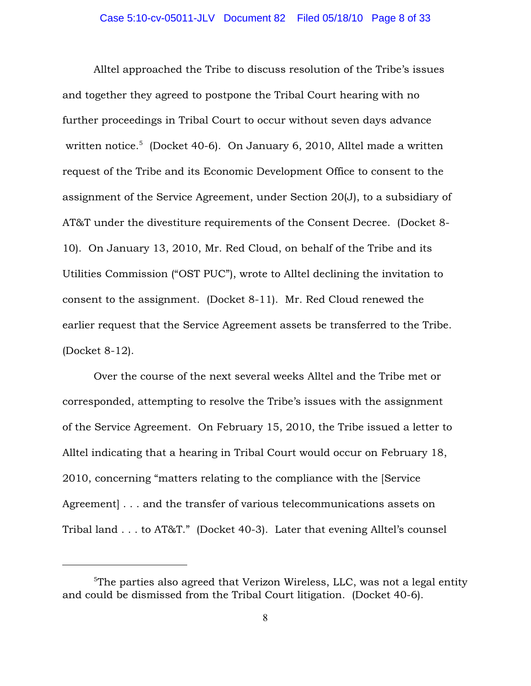Alltel approached the Tribe to discuss resolution of the Tribe's issues and together they agreed to postpone the Tribal Court hearing with no further proceedings in Tribal Court to occur without seven days advance written notice.<sup>5</sup> (Docket 40-6). On January 6, 2010, Alltel made a written request of the Tribe and its Economic Development Office to consent to the assignment of the Service Agreement, under Section 20(J), to a subsidiary of AT&T under the divestiture requirements of the Consent Decree. (Docket 8- 10). On January 13, 2010, Mr. Red Cloud, on behalf of the Tribe and its Utilities Commission ("OST PUC"), wrote to Alltel declining the invitation to consent to the assignment. (Docket 8-11). Mr. Red Cloud renewed the earlier request that the Service Agreement assets be transferred to the Tribe. (Docket 8-12).

Over the course of the next several weeks Alltel and the Tribe met or corresponded, attempting to resolve the Tribe's issues with the assignment of the Service Agreement. On February 15, 2010, the Tribe issued a letter to Alltel indicating that a hearing in Tribal Court would occur on February 18, 2010, concerning "matters relating to the compliance with the [Service Agreement  $\ldots$  and the transfer of various telecommunications assets on Tribal land . . . to AT&T." (Docket 40-3). Later that evening Alltel's counsel

 $5$ The parties also agreed that Verizon Wireless, LLC, was not a legal entity and could be dismissed from the Tribal Court litigation. (Docket 40-6).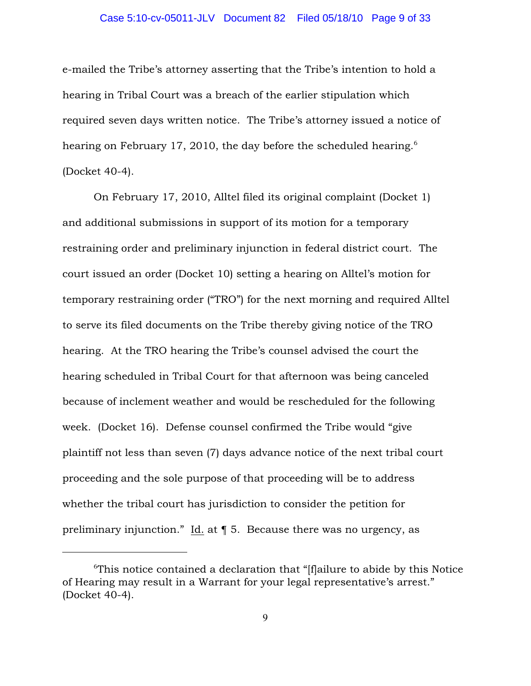### Case 5:10-cv-05011-JLV Document 82 Filed 05/18/10 Page 9 of 33

e-mailed the Tribe's attorney asserting that the Tribe's intention to hold a hearing in Tribal Court was a breach of the earlier stipulation which required seven days written notice. The Tribe's attorney issued a notice of hearing on February 17, 2010, the day before the scheduled hearing.<sup>6</sup> (Docket 40-4).

On February 17, 2010, Alltel filed its original complaint (Docket 1) and additional submissions in support of its motion for a temporary restraining order and preliminary injunction in federal district court. The court issued an order (Docket 10) setting a hearing on Alltel's motion for temporary restraining order ("TRO") for the next morning and required Alltel to serve its filed documents on the Tribe thereby giving notice of the TRO hearing. At the TRO hearing the Tribe's counsel advised the court the hearing scheduled in Tribal Court for that afternoon was being canceled because of inclement weather and would be rescheduled for the following week. (Docket 16). Defense counsel confirmed the Tribe would "give plaintiff not less than seven (7) days advance notice of the next tribal court proceeding and the sole purpose of that proceeding will be to address whether the tribal court has jurisdiction to consider the petition for preliminary injunction." Id. at ¶ 5. Because there was no urgency, as

 $\sigma$ <sup>6</sup>This notice contained a declaration that "[f]ailure to abide by this Notice of Hearing may result in a Warrant for your legal representative's arrest." (Docket 40-4).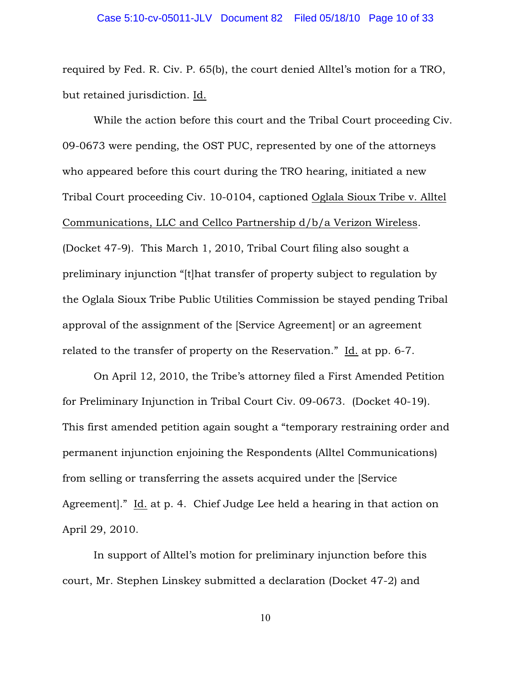required by Fed. R. Civ. P. 65(b), the court denied Alltel's motion for a TRO, but retained jurisdiction. Id.

While the action before this court and the Tribal Court proceeding Civ. 09-0673 were pending, the OST PUC, represented by one of the attorneys who appeared before this court during the TRO hearing, initiated a new Tribal Court proceeding Civ. 10-0104, captioned Oglala Sioux Tribe v. Alltel Communications, LLC and Cellco Partnership d/b/a Verizon Wireless. (Docket 47-9). This March 1, 2010, Tribal Court filing also sought a preliminary injunction "[t]hat transfer of property subject to regulation by the Oglala Sioux Tribe Public Utilities Commission be stayed pending Tribal approval of the assignment of the [Service Agreement] or an agreement related to the transfer of property on the Reservation." Id. at pp. 6-7.

On April 12, 2010, the Tribe's attorney filed a First Amended Petition for Preliminary Injunction in Tribal Court Civ. 09-0673. (Docket 40-19). This first amended petition again sought a "temporary restraining order and permanent injunction enjoining the Respondents (Alltel Communications) from selling or transferring the assets acquired under the [Service Agreement]." Id. at p. 4. Chief Judge Lee held a hearing in that action on April 29, 2010.

In support of Alltel's motion for preliminary injunction before this court, Mr. Stephen Linskey submitted a declaration (Docket 47-2) and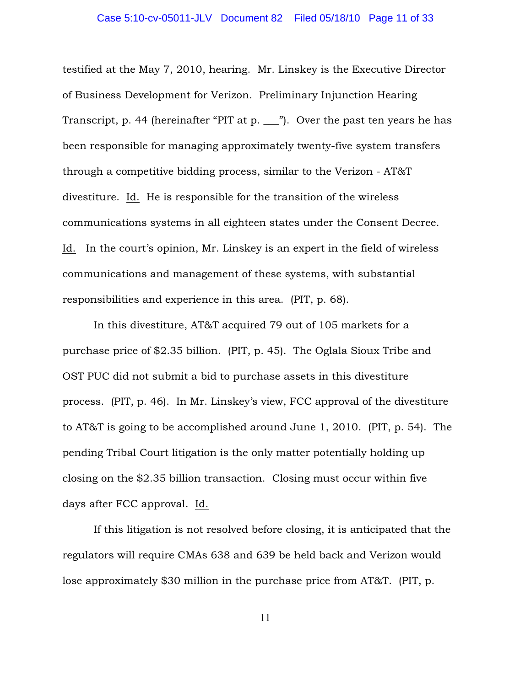testified at the May 7, 2010, hearing. Mr. Linskey is the Executive Director of Business Development for Verizon. Preliminary Injunction Hearing Transcript, p. 44 (hereinafter "PIT at p. \_\_\_"). Over the past ten years he has been responsible for managing approximately twenty-five system transfers through a competitive bidding process, similar to the Verizon - AT&T divestiture. Id. He is responsible for the transition of the wireless communications systems in all eighteen states under the Consent Decree. Id. In the court's opinion, Mr. Linskey is an expert in the field of wireless communications and management of these systems, with substantial responsibilities and experience in this area. (PIT, p. 68).

In this divestiture, AT&T acquired 79 out of 105 markets for a purchase price of \$2.35 billion. (PIT, p. 45). The Oglala Sioux Tribe and OST PUC did not submit a bid to purchase assets in this divestiture process. (PIT, p. 46). In Mr. Linskey's view, FCC approval of the divestiture to AT&T is going to be accomplished around June 1, 2010. (PIT, p. 54). The pending Tribal Court litigation is the only matter potentially holding up closing on the \$2.35 billion transaction. Closing must occur within five days after FCC approval. Id.

If this litigation is not resolved before closing, it is anticipated that the regulators will require CMAs 638 and 639 be held back and Verizon would lose approximately \$30 million in the purchase price from AT&T. (PIT, p.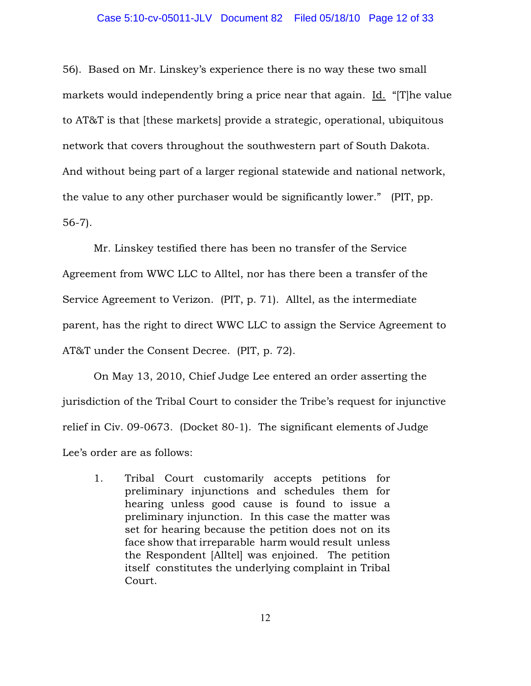### Case 5:10-cv-05011-JLV Document 82 Filed 05/18/10 Page 12 of 33

56). Based on Mr. Linskey's experience there is no way these two small markets would independently bring a price near that again. Id. "[T]he value to AT&T is that [these markets] provide a strategic, operational, ubiquitous network that covers throughout the southwestern part of South Dakota. And without being part of a larger regional statewide and national network, the value to any other purchaser would be significantly lower." (PIT, pp. 56-7).

Mr. Linskey testified there has been no transfer of the Service Agreement from WWC LLC to Alltel, nor has there been a transfer of the Service Agreement to Verizon. (PIT, p. 71). Alltel, as the intermediate parent, has the right to direct WWC LLC to assign the Service Agreement to AT&T under the Consent Decree. (PIT, p. 72).

On May 13, 2010, Chief Judge Lee entered an order asserting the jurisdiction of the Tribal Court to consider the Tribe's request for injunctive relief in Civ. 09-0673. (Docket 80-1). The significant elements of Judge Lee's order are as follows:

1. Tribal Court customarily accepts petitions for preliminary injunctions and schedules them for hearing unless good cause is found to issue a preliminary injunction. In this case the matter was set for hearing because the petition does not on its face show that irreparable harm would result unless the Respondent [Alltel] was enjoined. The petition itself constitutes the underlying complaint in Tribal Court.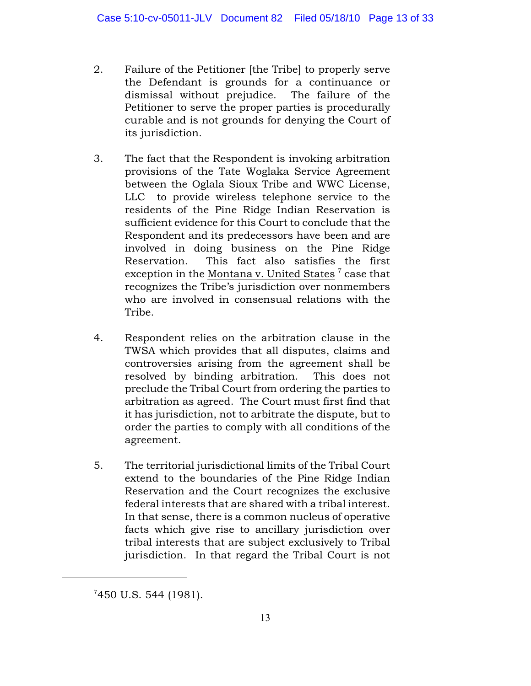- 2. Failure of the Petitioner [the Tribe] to properly serve the Defendant is grounds for a continuance or dismissal without prejudice. The failure of the Petitioner to serve the proper parties is procedurally curable and is not grounds for denying the Court of its jurisdiction.
- 3. The fact that the Respondent is invoking arbitration provisions of the Tate Woglaka Service Agreement between the Oglala Sioux Tribe and WWC License, LLC to provide wireless telephone service to the residents of the Pine Ridge Indian Reservation is sufficient evidence for this Court to conclude that the Respondent and its predecessors have been and are involved in doing business on the Pine Ridge Reservation. This fact also satisfies the first exception in the Montana v. United States<sup>7</sup> case that recognizes the Tribe's jurisdiction over nonmembers who are involved in consensual relations with the Tribe.
- 4. Respondent relies on the arbitration clause in the TWSA which provides that all disputes, claims and controversies arising from the agreement shall be resolved by binding arbitration. This does not preclude the Tribal Court from ordering the parties to arbitration as agreed. The Court must first find that it has jurisdiction, not to arbitrate the dispute, but to order the parties to comply with all conditions of the agreement.
- 5. The territorial jurisdictional limits of the Tribal Court extend to the boundaries of the Pine Ridge Indian Reservation and the Court recognizes the exclusive federal interests that are shared with a tribal interest. In that sense, there is a common nucleus of operative facts which give rise to ancillary jurisdiction over tribal interests that are subject exclusively to Tribal jurisdiction. In that regard the Tribal Court is not

 $7450$  U.S. 544 (1981).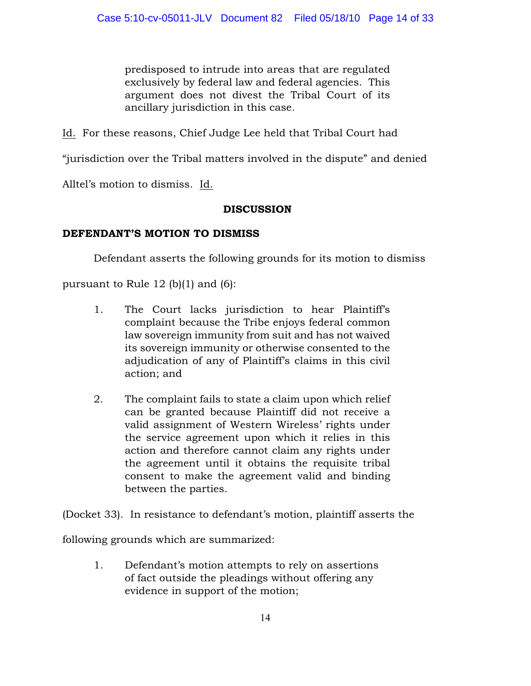predisposed to intrude into areas that are regulated exclusively by federal law and federal agencies. This argument does not divest the Tribal Court of its ancillary jurisdiction in this case.

Id. For these reasons, Chief Judge Lee held that Tribal Court had

"jurisdiction over the Tribal matters involved in the dispute" and denied

Alltel's motion to dismiss. Id.

# DISCUSSION

# DEFENDANT'S MOTION TO DISMISS

Defendant asserts the following grounds for its motion to dismiss

pursuant to Rule 12 (b)(1) and (6):

- 1. The Court lacks jurisdiction to hear Plaintiff's complaint because the Tribe enjoys federal common law sovereign immunity from suit and has not waived its sovereign immunity or otherwise consented to the adjudication of any of Plaintiff's claims in this civil action; and
- 2. The complaint fails to state a claim upon which relief can be granted because Plaintiff did not receive a valid assignment of Western Wireless' rights under the service agreement upon which it relies in this action and therefore cannot claim any rights under the agreement until it obtains the requisite tribal consent to make the agreement valid and binding between the parties.

(Docket 33). In resistance to defendant's motion, plaintiff asserts the

following grounds which are summarized:

1. Defendant's motion attempts to rely on assertions of fact outside the pleadings without offering any evidence in support of the motion;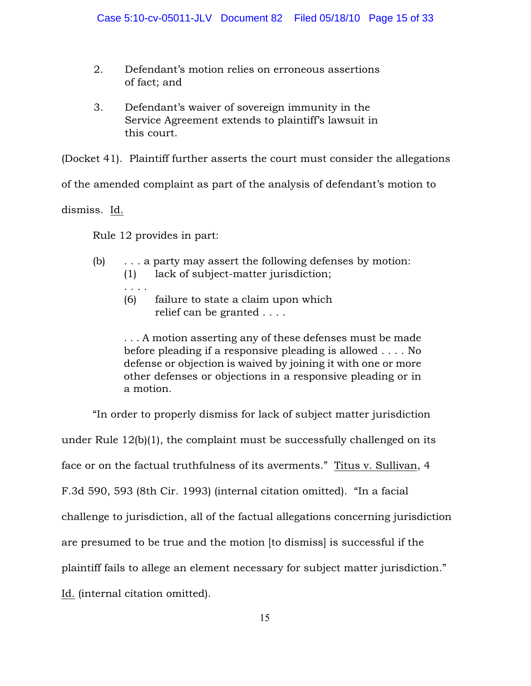- 2. Defendant's motion relies on erroneous assertions of fact; and
- 3. Defendant's waiver of sovereign immunity in the Service Agreement extends to plaintiff's lawsuit in this court.

(Docket 41). Plaintiff further asserts the court must consider the allegations

of the amended complaint as part of the analysis of defendant's motion to

dismiss. Id.

Rule 12 provides in part:

- (b) . . . a party may assert the following defenses by motion: (1) lack of subject-matter jurisdiction;
	- . . . .
	- (6) failure to state a claim upon which relief can be granted . . . .

. . . A motion asserting any of these defenses must be made before pleading if a responsive pleading is allowed . . . . No defense or objection is waived by joining it with one or more other defenses or objections in a responsive pleading or in a motion.

"In order to properly dismiss for lack of subject matter jurisdiction under Rule 12(b)(1), the complaint must be successfully challenged on its face or on the factual truthfulness of its averments." Titus v. Sullivan, 4 F.3d 590, 593 (8th Cir. 1993) (internal citation omitted). "In a facial challenge to jurisdiction, all of the factual allegations concerning jurisdiction are presumed to be true and the motion [to dismiss] is successful if the plaintiff fails to allege an element necessary for subject matter jurisdiction." Id. (internal citation omitted).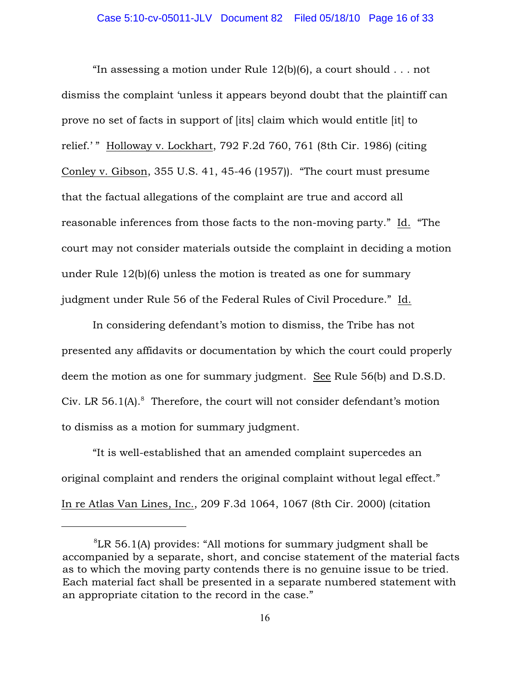"In assessing a motion under Rule  $12(b)(6)$ , a court should ... not dismiss the complaint 'unless it appears beyond doubt that the plaintiff can prove no set of facts in support of [its] claim which would entitle [it] to relief.' " Holloway v. Lockhart, 792 F.2d 760, 761 (8th Cir. 1986) (citing Conley v. Gibson, 355 U.S. 41, 45-46 (1957)). "The court must presume that the factual allegations of the complaint are true and accord all reasonable inferences from those facts to the non-moving party." Id. "The court may not consider materials outside the complaint in deciding a motion under Rule 12(b)(6) unless the motion is treated as one for summary judgment under Rule 56 of the Federal Rules of Civil Procedure." Id.

In considering defendant's motion to dismiss, the Tribe has not presented any affidavits or documentation by which the court could properly deem the motion as one for summary judgment. See Rule 56(b) and D.S.D. Civ. LR 56.1(A). $8$  Therefore, the court will not consider defendant's motion to dismiss as a motion for summary judgment.

"It is well-established that an amended complaint supercedes an original complaint and renders the original complaint without legal effect." In re Atlas Van Lines, Inc., 209 F.3d 1064, 1067 (8th Cir. 2000) (citation

 ${}^{8}$ LR 56.1(A) provides: "All motions for summary judgment shall be accompanied by a separate, short, and concise statement of the material facts as to which the moving party contends there is no genuine issue to be tried. Each material fact shall be presented in a separate numbered statement with an appropriate citation to the record in the case."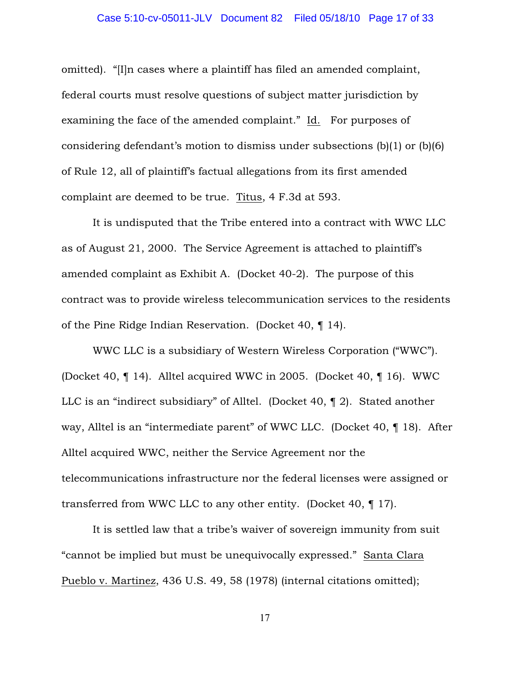### Case 5:10-cv-05011-JLV Document 82 Filed 05/18/10 Page 17 of 33

omitted). "[I]n cases where a plaintiff has filed an amended complaint, federal courts must resolve questions of subject matter jurisdiction by examining the face of the amended complaint." Id. For purposes of considering defendant's motion to dismiss under subsections (b)(1) or (b)(6) of Rule 12, all of plaintiff's factual allegations from its first amended complaint are deemed to be true. Titus, 4 F.3d at 593.

It is undisputed that the Tribe entered into a contract with WWC LLC as of August 21, 2000. The Service Agreement is attached to plaintiff's amended complaint as Exhibit A. (Docket 40-2). The purpose of this contract was to provide wireless telecommunication services to the residents of the Pine Ridge Indian Reservation. (Docket 40, ¶ 14).

WWC LLC is a subsidiary of Western Wireless Corporation ("WWC"). (Docket 40, ¶ 14). Alltel acquired WWC in 2005. (Docket 40, ¶ 16). WWC LLC is an "indirect subsidiary" of Alltel. (Docket 40, ¶ 2). Stated another way, Alltel is an "intermediate parent" of WWC LLC. (Docket 40, ¶ 18). After Alltel acquired WWC, neither the Service Agreement nor the telecommunications infrastructure nor the federal licenses were assigned or transferred from WWC LLC to any other entity. (Docket 40, ¶ 17).

It is settled law that a tribe's waiver of sovereign immunity from suit "cannot be implied but must be unequivocally expressed." Santa Clara Pueblo v. Martinez, 436 U.S. 49, 58 (1978) (internal citations omitted);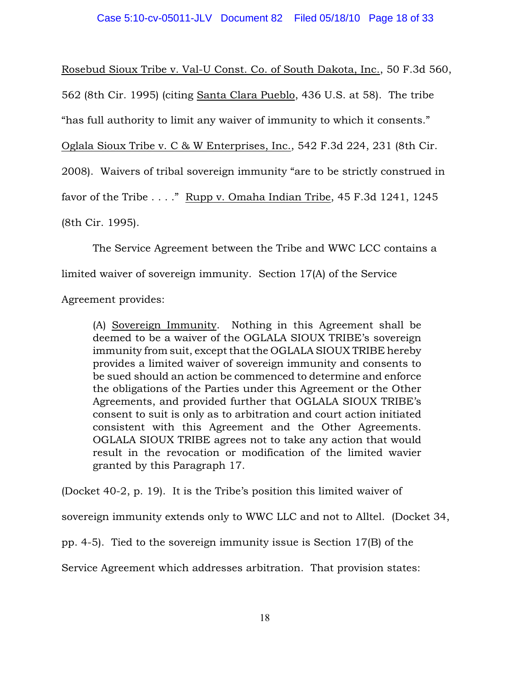Rosebud Sioux Tribe v. Val-U Const. Co. of South Dakota, Inc., 50 F.3d 560, 562 (8th Cir. 1995) (citing Santa Clara Pueblo, 436 U.S. at 58). The tribe "has full authority to limit any waiver of immunity to which it consents." Oglala Sioux Tribe v. C & W Enterprises, Inc., 542 F.3d 224, 231 (8th Cir. 2008). Waivers of tribal sovereign immunity "are to be strictly construed in favor of the Tribe  $\ldots$ ." Rupp v. Omaha Indian Tribe, 45 F.3d 1241, 1245 (8th Cir. 1995).

The Service Agreement between the Tribe and WWC LCC contains a limited waiver of sovereign immunity. Section 17(A) of the Service

Agreement provides:

(A) Sovereign Immunity. Nothing in this Agreement shall be deemed to be a waiver of the OGLALA SIOUX TRIBE's sovereign immunity from suit, except that the OGLALA SIOUX TRIBE hereby provides a limited waiver of sovereign immunity and consents to be sued should an action be commenced to determine and enforce the obligations of the Parties under this Agreement or the Other Agreements, and provided further that OGLALA SIOUX TRIBE's consent to suit is only as to arbitration and court action initiated consistent with this Agreement and the Other Agreements. OGLALA SIOUX TRIBE agrees not to take any action that would result in the revocation or modification of the limited wavier granted by this Paragraph 17.

(Docket 40-2, p. 19). It is the Tribe's position this limited waiver of

sovereign immunity extends only to WWC LLC and not to Alltel. (Docket 34,

pp. 4-5). Tied to the sovereign immunity issue is Section 17(B) of the

Service Agreement which addresses arbitration. That provision states: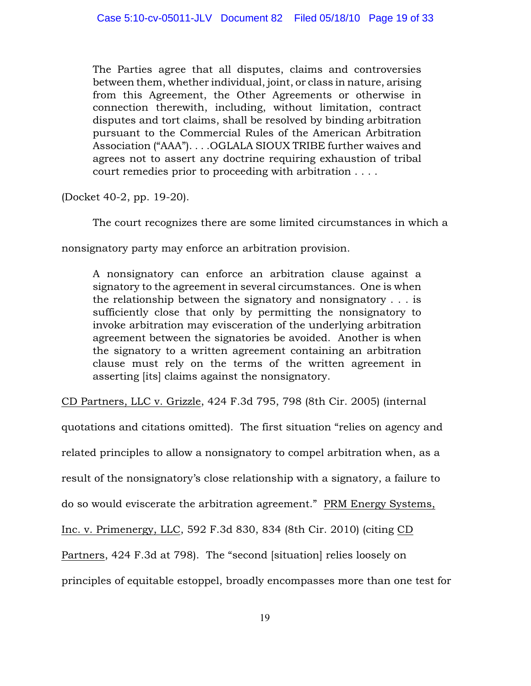The Parties agree that all disputes, claims and controversies between them, whether individual, joint, or class in nature, arising from this Agreement, the Other Agreements or otherwise in connection therewith, including, without limitation, contract disputes and tort claims, shall be resolved by binding arbitration pursuant to the Commercial Rules of the American Arbitration Association ("AAA"). . . .OGLALA SIOUX TRIBE further waives and agrees not to assert any doctrine requiring exhaustion of tribal court remedies prior to proceeding with arbitration . . . .

(Docket 40-2, pp. 19-20).

The court recognizes there are some limited circumstances in which a

nonsignatory party may enforce an arbitration provision.

A nonsignatory can enforce an arbitration clause against a signatory to the agreement in several circumstances. One is when the relationship between the signatory and nonsignatory . . . is sufficiently close that only by permitting the nonsignatory to invoke arbitration may evisceration of the underlying arbitration agreement between the signatories be avoided. Another is when the signatory to a written agreement containing an arbitration clause must rely on the terms of the written agreement in asserting [its] claims against the nonsignatory.

CD Partners, LLC v. Grizzle, 424 F.3d 795, 798 (8th Cir. 2005) (internal

quotations and citations omitted). The first situation "relies on agency and related principles to allow a nonsignatory to compel arbitration when, as a result of the nonsignatory's close relationship with a signatory, a failure to do so would eviscerate the arbitration agreement." PRM Energy Systems, Inc. v. Primenergy, LLC, 592 F.3d 830, 834 (8th Cir. 2010) (citing CD Partners, 424 F.3d at 798). The "second [situation] relies loosely on principles of equitable estoppel, broadly encompasses more than one test for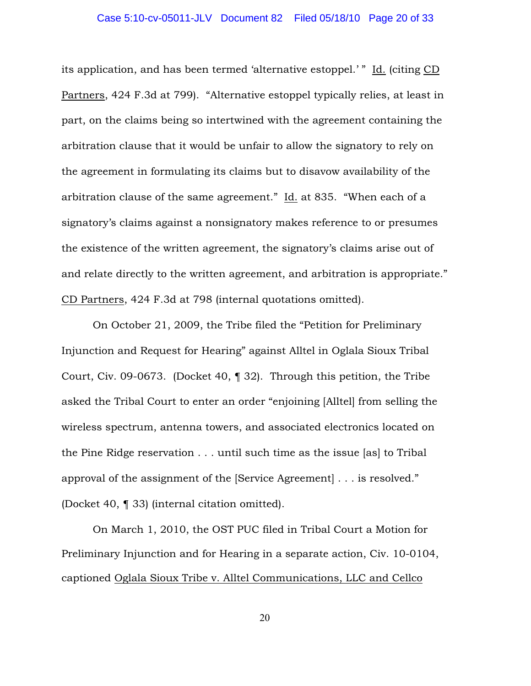its application, and has been termed 'alternative estoppel.' " Id. (citing CD Partners, 424 F.3d at 799). "Alternative estoppel typically relies, at least in part, on the claims being so intertwined with the agreement containing the arbitration clause that it would be unfair to allow the signatory to rely on the agreement in formulating its claims but to disavow availability of the arbitration clause of the same agreement." Id. at 835. "When each of a signatory's claims against a nonsignatory makes reference to or presumes the existence of the written agreement, the signatory's claims arise out of and relate directly to the written agreement, and arbitration is appropriate." CD Partners, 424 F.3d at 798 (internal quotations omitted).

On October 21, 2009, the Tribe filed the "Petition for Preliminary Injunction and Request for Hearing" against Alltel in Oglala Sioux Tribal Court, Civ. 09-0673. (Docket 40, ¶ 32). Through this petition, the Tribe asked the Tribal Court to enter an order "enjoining [Alltel] from selling the wireless spectrum, antenna towers, and associated electronics located on the Pine Ridge reservation . . . until such time as the issue [as] to Tribal approval of the assignment of the [Service Agreement] . . . is resolved." (Docket 40, ¶ 33) (internal citation omitted).

On March 1, 2010, the OST PUC filed in Tribal Court a Motion for Preliminary Injunction and for Hearing in a separate action, Civ. 10-0104, captioned Oglala Sioux Tribe v. Alltel Communications, LLC and Cellco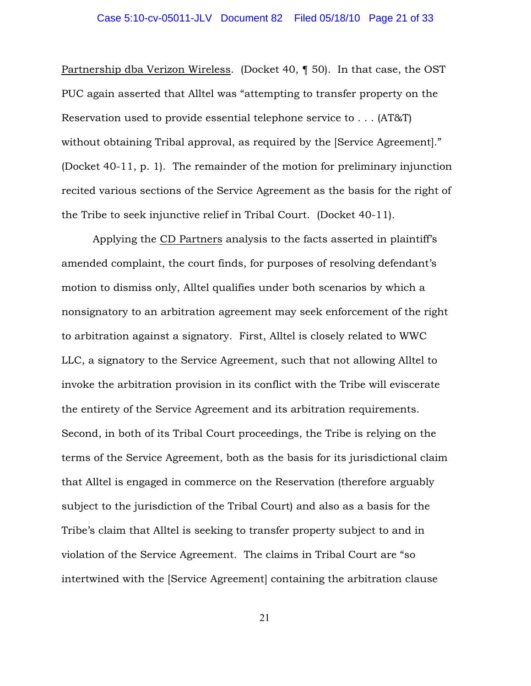Partnership dba Verizon Wireless. (Docket 40, ¶ 50). In that case, the OST PUC again asserted that Alltel was "attempting to transfer property on the Reservation used to provide essential telephone service to . . . (AT&T) without obtaining Tribal approval, as required by the [Service Agreement]." (Docket 40-11, p. 1). The remainder of the motion for preliminary injunction recited various sections of the Service Agreement as the basis for the right of the Tribe to seek injunctive relief in Tribal Court. (Docket 40-11).

Applying the CD Partners analysis to the facts asserted in plaintiff's amended complaint, the court finds, for purposes of resolving defendant's motion to dismiss only, Alltel qualifies under both scenarios by which a nonsignatory to an arbitration agreement may seek enforcement of the right to arbitration against a signatory. First, Alltel is closely related to WWC LLC, a signatory to the Service Agreement, such that not allowing Alltel to invoke the arbitration provision in its conflict with the Tribe will eviscerate the entirety of the Service Agreement and its arbitration requirements. Second, in both of its Tribal Court proceedings, the Tribe is relying on the terms of the Service Agreement, both as the basis for its jurisdictional claim that Alltel is engaged in commerce on the Reservation (therefore arguably subject to the jurisdiction of the Tribal Court) and also as a basis for the Tribe's claim that Alltel is seeking to transfer property subject to and in violation of the Service Agreement. The claims in Tribal Court are "so intertwined with the [Service Agreement] containing the arbitration clause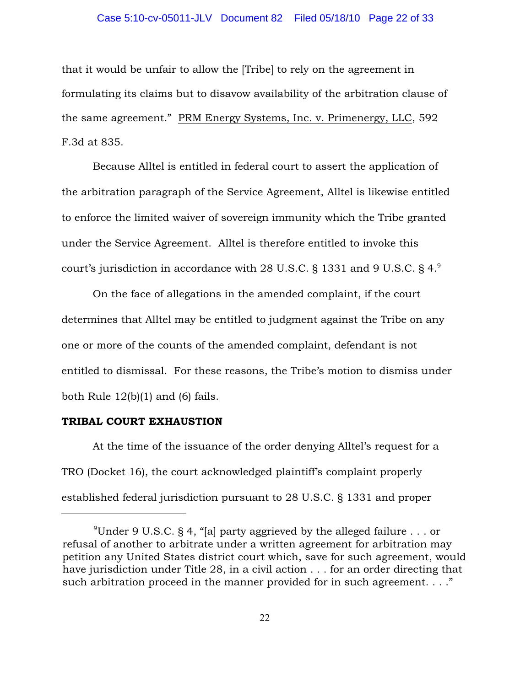### Case 5:10-cv-05011-JLV Document 82 Filed 05/18/10 Page 22 of 33

that it would be unfair to allow the [Tribe] to rely on the agreement in formulating its claims but to disavow availability of the arbitration clause of the same agreement." PRM Energy Systems, Inc. v. Primenergy, LLC, 592 F.3d at 835.

Because Alltel is entitled in federal court to assert the application of the arbitration paragraph of the Service Agreement, Alltel is likewise entitled to enforce the limited waiver of sovereign immunity which the Tribe granted under the Service Agreement. Alltel is therefore entitled to invoke this court's jurisdiction in accordance with 28 U.S.C. § 1331 and 9 U.S.C. § 4. $^{\circ}$ 

On the face of allegations in the amended complaint, if the court determines that Alltel may be entitled to judgment against the Tribe on any one or more of the counts of the amended complaint, defendant is not entitled to dismissal. For these reasons, the Tribe's motion to dismiss under both Rule  $12(b)(1)$  and  $(6)$  fails.

# TRIBAL COURT EXHAUSTION

At the time of the issuance of the order denying Alltel's request for a TRO (Docket 16), the court acknowledged plaintiff's complaint properly established federal jurisdiction pursuant to 28 U.S.C. § 1331 and proper

<sup>&</sup>lt;sup>9</sup>Under 9 U.S.C. § 4, "[a] party aggrieved by the alleged failure . . . or refusal of another to arbitrate under a written agreement for arbitration may petition any United States district court which, save for such agreement, would have jurisdiction under Title 28, in a civil action . . . for an order directing that such arbitration proceed in the manner provided for in such agreement.  $\ldots$ "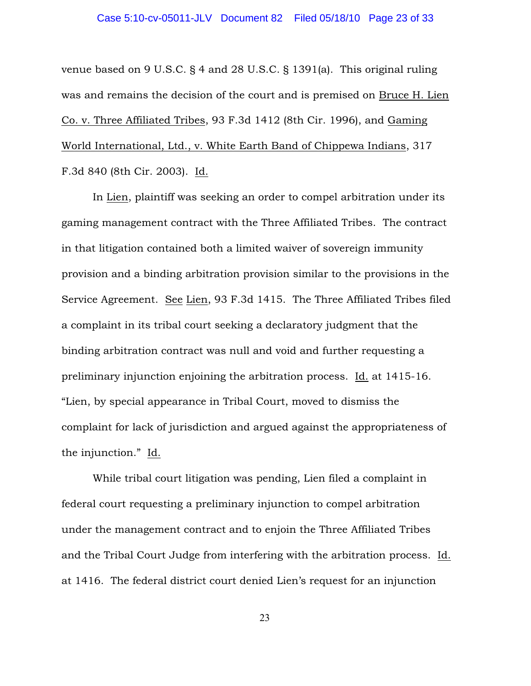venue based on 9 U.S.C. § 4 and 28 U.S.C. § 1391(a). This original ruling was and remains the decision of the court and is premised on Bruce H. Lien Co. v. Three Affiliated Tribes, 93 F.3d 1412 (8th Cir. 1996), and Gaming World International, Ltd., v. White Earth Band of Chippewa Indians, 317 F.3d 840 (8th Cir. 2003). Id.

In Lien, plaintiff was seeking an order to compel arbitration under its gaming management contract with the Three Affiliated Tribes. The contract in that litigation contained both a limited waiver of sovereign immunity provision and a binding arbitration provision similar to the provisions in the Service Agreement. See Lien, 93 F.3d 1415. The Three Affiliated Tribes filed a complaint in its tribal court seeking a declaratory judgment that the binding arbitration contract was null and void and further requesting a preliminary injunction enjoining the arbitration process. Id. at 1415-16. "Lien, by special appearance in Tribal Court, moved to dismiss the complaint for lack of jurisdiction and argued against the appropriateness of the injunction." Id.

While tribal court litigation was pending, Lien filed a complaint in federal court requesting a preliminary injunction to compel arbitration under the management contract and to enjoin the Three Affiliated Tribes and the Tribal Court Judge from interfering with the arbitration process. Id. at 1416. The federal district court denied Lien's request for an injunction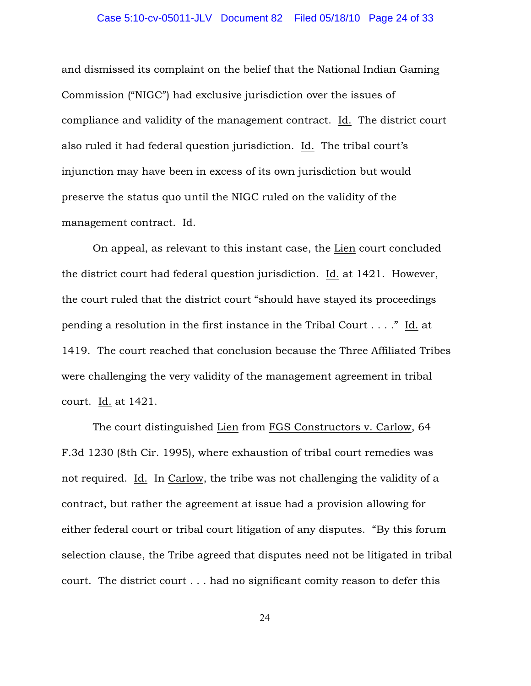### Case 5:10-cv-05011-JLV Document 82 Filed 05/18/10 Page 24 of 33

and dismissed its complaint on the belief that the National Indian Gaming Commission ("NIGC") had exclusive jurisdiction over the issues of compliance and validity of the management contract. Id. The district court also ruled it had federal question jurisdiction. Id. The tribal court's injunction may have been in excess of its own jurisdiction but would preserve the status quo until the NIGC ruled on the validity of the management contract. Id.

On appeal, as relevant to this instant case, the Lien court concluded the district court had federal question jurisdiction. Id. at 1421. However, the court ruled that the district court "should have stayed its proceedings pending a resolution in the first instance in the Tribal Court . . . ." Id. at 1419. The court reached that conclusion because the Three Affiliated Tribes were challenging the very validity of the management agreement in tribal court. Id. at 1421.

The court distinguished Lien from FGS Constructors v. Carlow, 64 F.3d 1230 (8th Cir. 1995), where exhaustion of tribal court remedies was not required. Id. In Carlow, the tribe was not challenging the validity of a contract, but rather the agreement at issue had a provision allowing for either federal court or tribal court litigation of any disputes. "By this forum selection clause, the Tribe agreed that disputes need not be litigated in tribal court. The district court . . . had no significant comity reason to defer this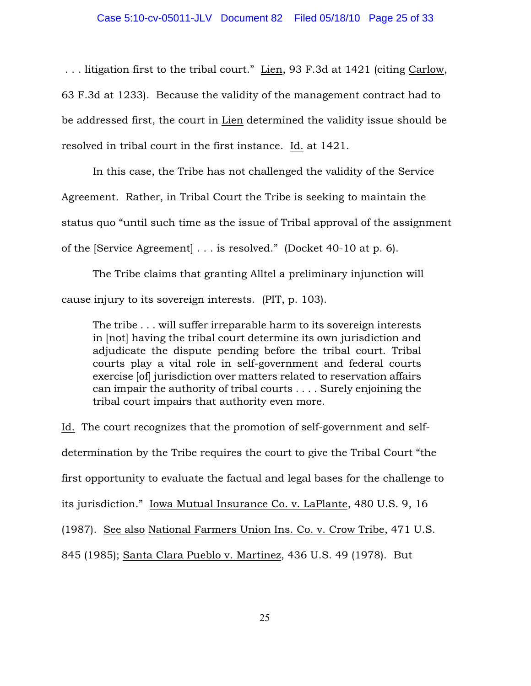. . . litigation first to the tribal court." Lien, 93 F.3d at 1421 (citing Carlow, 63 F.3d at 1233). Because the validity of the management contract had to be addressed first, the court in Lien determined the validity issue should be resolved in tribal court in the first instance. Id. at 1421.

In this case, the Tribe has not challenged the validity of the Service Agreement. Rather, in Tribal Court the Tribe is seeking to maintain the status quo "until such time as the issue of Tribal approval of the assignment of the [Service Agreement] . . . is resolved." (Docket 40-10 at p. 6).

The Tribe claims that granting Alltel a preliminary injunction will cause injury to its sovereign interests. (PIT, p. 103).

The tribe . . . will suffer irreparable harm to its sovereign interests in [not] having the tribal court determine its own jurisdiction and adjudicate the dispute pending before the tribal court. Tribal courts play a vital role in self-government and federal courts exercise [of] jurisdiction over matters related to reservation affairs can impair the authority of tribal courts . . . . Surely enjoining the tribal court impairs that authority even more.

Id. The court recognizes that the promotion of self-government and selfdetermination by the Tribe requires the court to give the Tribal Court "the first opportunity to evaluate the factual and legal bases for the challenge to its jurisdiction." Iowa Mutual Insurance Co. v. LaPlante, 480 U.S. 9, 16 (1987). See also National Farmers Union Ins. Co. v. Crow Tribe, 471 U.S. 845 (1985); Santa Clara Pueblo v. Martinez, 436 U.S. 49 (1978). But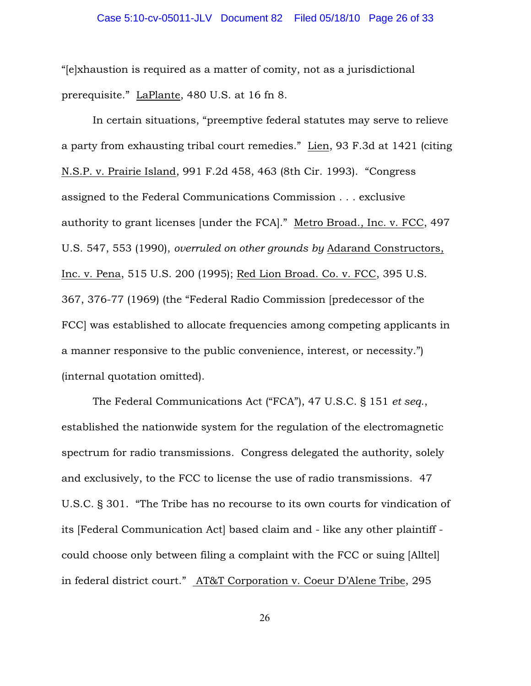"[e]xhaustion is required as a matter of comity, not as a jurisdictional prerequisite." LaPlante, 480 U.S. at 16 fn 8.

In certain situations, "preemptive federal statutes may serve to relieve a party from exhausting tribal court remedies." Lien, 93 F.3d at 1421 (citing N.S.P. v. Prairie Island, 991 F.2d 458, 463 (8th Cir. 1993). "Congress assigned to the Federal Communications Commission . . . exclusive authority to grant licenses [under the FCA]." Metro Broad., Inc. v. FCC, 497 U.S. 547, 553 (1990), *overruled on other grounds by* Adarand Constructors, Inc. v. Pena, 515 U.S. 200 (1995); Red Lion Broad. Co. v. FCC, 395 U.S. 367, 376-77 (1969) (the "Federal Radio Commission [predecessor of the FCC] was established to allocate frequencies among competing applicants in a manner responsive to the public convenience, interest, or necessity.") (internal quotation omitted).

The Federal Communications Act ("FCA"), 47 U.S.C. § 151 *et seq*., established the nationwide system for the regulation of the electromagnetic spectrum for radio transmissions. Congress delegated the authority, solely and exclusively, to the FCC to license the use of radio transmissions. 47 U.S.C. § 301. "The Tribe has no recourse to its own courts for vindication of its [Federal Communication Act] based claim and - like any other plaintiff could choose only between filing a complaint with the FCC or suing [Alltel] in federal district court." AT&T Corporation v. Coeur D'Alene Tribe, 295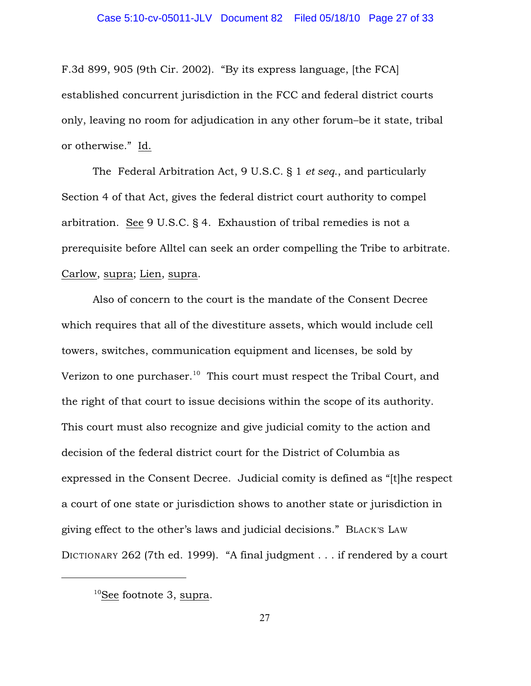F.3d 899, 905 (9th Cir. 2002). "By its express language, [the FCA] established concurrent jurisdiction in the FCC and federal district courts only, leaving no room for adjudication in any other forum–be it state, tribal or otherwise." Id.

The Federal Arbitration Act, 9 U.S.C. § 1 *et seq*., and particularly Section 4 of that Act, gives the federal district court authority to compel arbitration. See 9 U.S.C. § 4. Exhaustion of tribal remedies is not a prerequisite before Alltel can seek an order compelling the Tribe to arbitrate. Carlow, supra; Lien, supra.

Also of concern to the court is the mandate of the Consent Decree which requires that all of the divestiture assets, which would include cell towers, switches, communication equipment and licenses, be sold by Verizon to one purchaser.<sup>10</sup> This court must respect the Tribal Court, and the right of that court to issue decisions within the scope of its authority. This court must also recognize and give judicial comity to the action and decision of the federal district court for the District of Columbia as expressed in the Consent Decree. Judicial comity is defined as "[t]he respect a court of one state or jurisdiction shows to another state or jurisdiction in giving effect to the other's laws and judicial decisions." BLACK'S LAW DICTIONARY 262 (7th ed. 1999). "A final judgment . . . if rendered by a court

 $10$ See footnote 3, supra.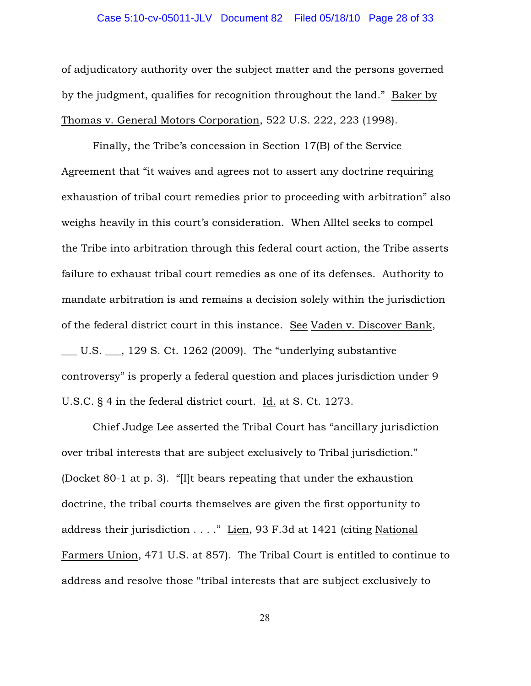### Case 5:10-cv-05011-JLV Document 82 Filed 05/18/10 Page 28 of 33

of adjudicatory authority over the subject matter and the persons governed by the judgment, qualifies for recognition throughout the land." Baker by Thomas v. General Motors Corporation, 522 U.S. 222, 223 (1998).

Finally, the Tribe's concession in Section 17(B) of the Service Agreement that "it waives and agrees not to assert any doctrine requiring exhaustion of tribal court remedies prior to proceeding with arbitration" also weighs heavily in this court's consideration. When Alltel seeks to compel the Tribe into arbitration through this federal court action, the Tribe asserts failure to exhaust tribal court remedies as one of its defenses. Authority to mandate arbitration is and remains a decision solely within the jurisdiction of the federal district court in this instance. See Vaden v. Discover Bank, \_\_\_ U.S. \_\_\_, 129 S. Ct. 1262 (2009). The "underlying substantive controversy" is properly a federal question and places jurisdiction under 9 U.S.C. § 4 in the federal district court. Id. at S. Ct. 1273.

Chief Judge Lee asserted the Tribal Court has "ancillary jurisdiction over tribal interests that are subject exclusively to Tribal jurisdiction." (Docket 80-1 at p. 3). "[I]t bears repeating that under the exhaustion doctrine, the tribal courts themselves are given the first opportunity to address their jurisdiction . . . ." Lien, 93 F.3d at 1421 (citing National Farmers Union, 471 U.S. at 857). The Tribal Court is entitled to continue to address and resolve those "tribal interests that are subject exclusively to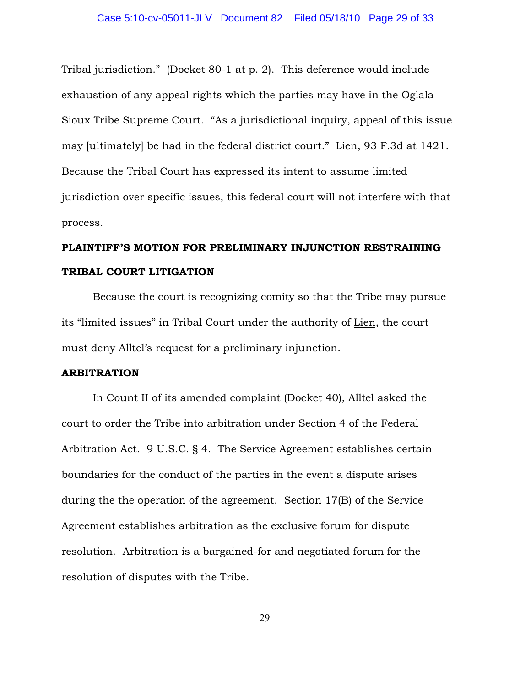Tribal jurisdiction." (Docket 80-1 at p. 2). This deference would include exhaustion of any appeal rights which the parties may have in the Oglala Sioux Tribe Supreme Court. "As a jurisdictional inquiry, appeal of this issue may [ultimately] be had in the federal district court." Lien, 93 F.3d at 1421. Because the Tribal Court has expressed its intent to assume limited jurisdiction over specific issues, this federal court will not interfere with that process.

# PLAINTIFF'S MOTION FOR PRELIMINARY INJUNCTION RESTRAINING TRIBAL COURT LITIGATION

Because the court is recognizing comity so that the Tribe may pursue its "limited issues" in Tribal Court under the authority of Lien, the court must deny Alltel's request for a preliminary injunction.

### ARBITRATION

In Count II of its amended complaint (Docket 40), Alltel asked the court to order the Tribe into arbitration under Section 4 of the Federal Arbitration Act. 9 U.S.C. § 4. The Service Agreement establishes certain boundaries for the conduct of the parties in the event a dispute arises during the the operation of the agreement. Section 17(B) of the Service Agreement establishes arbitration as the exclusive forum for dispute resolution. Arbitration is a bargained-for and negotiated forum for the resolution of disputes with the Tribe.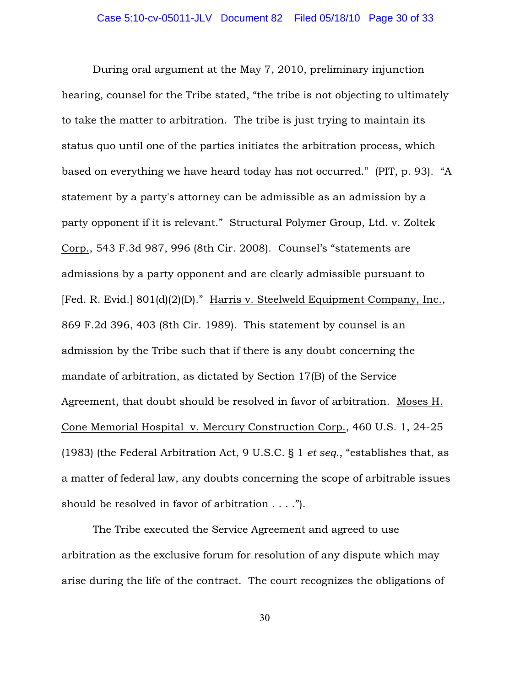During oral argument at the May 7, 2010, preliminary injunction hearing, counsel for the Tribe stated, "the tribe is not objecting to ultimately to take the matter to arbitration. The tribe is just trying to maintain its status quo until one of the parties initiates the arbitration process, which based on everything we have heard today has not occurred." (PIT, p. 93). "A statement by a party's attorney can be admissible as an admission by a party opponent if it is relevant." Structural Polymer Group, Ltd. v. Zoltek Corp., 543 F.3d 987, 996 (8th Cir. 2008). Counsel's "statements are admissions by a party opponent and are clearly admissible pursuant to [Fed. R. Evid.] 801(d)(2)(D)." Harris v. Steelweld Equipment Company, Inc., 869 F.2d 396, 403 (8th Cir. 1989). This statement by counsel is an admission by the Tribe such that if there is any doubt concerning the mandate of arbitration, as dictated by Section 17(B) of the Service Agreement, that doubt should be resolved in favor of arbitration. Moses H. Cone Memorial Hospital v. Mercury Construction Corp., 460 U.S. 1, 24-25 (1983) (the Federal Arbitration Act, 9 U.S.C. § 1 *et seq*., "establishes that, as a matter of federal law, any doubts concerning the scope of arbitrable issues should be resolved in favor of arbitration . . . .").

The Tribe executed the Service Agreement and agreed to use arbitration as the exclusive forum for resolution of any dispute which may arise during the life of the contract. The court recognizes the obligations of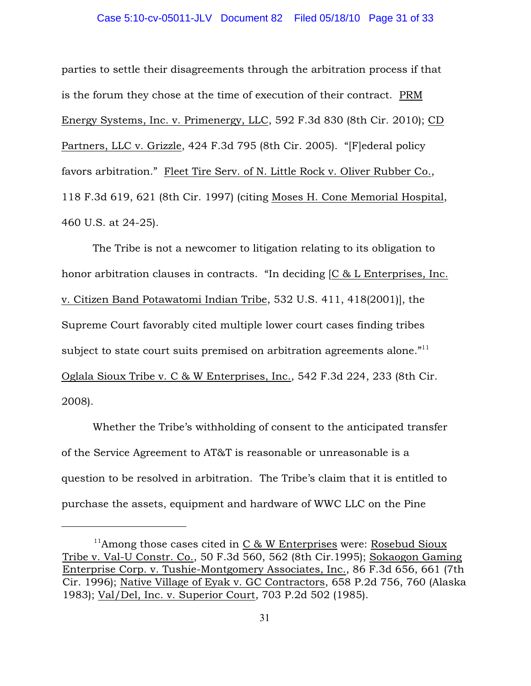### Case 5:10-cv-05011-JLV Document 82 Filed 05/18/10 Page 31 of 33

parties to settle their disagreements through the arbitration process if that is the forum they chose at the time of execution of their contract. PRM Energy Systems, Inc. v. Primenergy, LLC, 592 F.3d 830 (8th Cir. 2010); CD Partners, LLC v. Grizzle, 424 F.3d 795 (8th Cir. 2005). "[F]ederal policy favors arbitration." Fleet Tire Serv. of N. Little Rock v. Oliver Rubber Co., 118 F.3d 619, 621 (8th Cir. 1997) (citing Moses H. Cone Memorial Hospital, 460 U.S. at 24-25).

The Tribe is not a newcomer to litigation relating to its obligation to honor arbitration clauses in contracts. "In deciding [C & L Enterprises, Inc. v. Citizen Band Potawatomi Indian Tribe, 532 U.S. 411, 418(2001)], the Supreme Court favorably cited multiple lower court cases finding tribes subject to state court suits premised on arbitration agreements alone."<sup>11</sup> Oglala Sioux Tribe v. C & W Enterprises, Inc., 542 F.3d 224, 233 (8th Cir. 2008).

Whether the Tribe's withholding of consent to the anticipated transfer of the Service Agreement to AT&T is reasonable or unreasonable is a question to be resolved in arbitration. The Tribe's claim that it is entitled to purchase the assets, equipment and hardware of WWC LLC on the Pine

 $11$ Among those cases cited in C & W Enterprises were: Rosebud Sioux Tribe v. Val-U Constr. Co., 50 F.3d 560, 562 (8th Cir.1995); Sokaogon Gaming Enterprise Corp. v. Tushie-Montgomery Associates, Inc., 86 F.3d 656, 661 (7th Cir. 1996); Native Village of Eyak v. GC Contractors, 658 P.2d 756, 760 (Alaska 1983); Val/Del, Inc. v. Superior Court, 703 P.2d 502 (1985).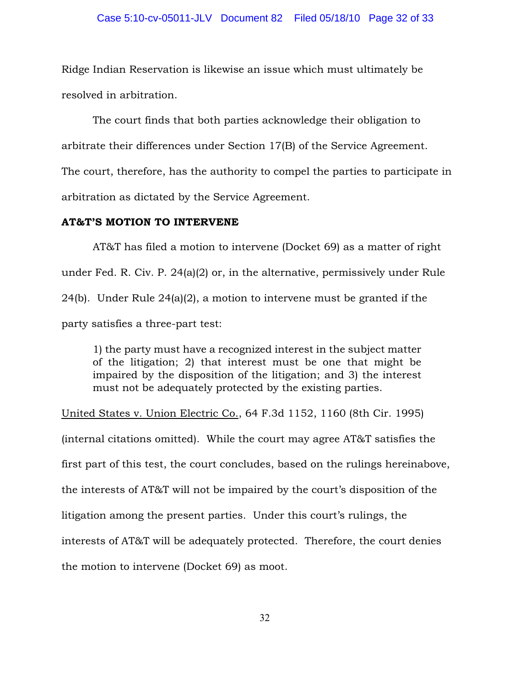Ridge Indian Reservation is likewise an issue which must ultimately be resolved in arbitration.

The court finds that both parties acknowledge their obligation to arbitrate their differences under Section 17(B) of the Service Agreement. The court, therefore, has the authority to compel the parties to participate in arbitration as dictated by the Service Agreement.

### AT&T'S MOTION TO INTERVENE

AT&T has filed a motion to intervene (Docket 69) as a matter of right under Fed. R. Civ. P. 24(a)(2) or, in the alternative, permissively under Rule 24(b). Under Rule 24(a)(2), a motion to intervene must be granted if the party satisfies a three-part test:

1) the party must have a recognized interest in the subject matter of the litigation; 2) that interest must be one that might be impaired by the disposition of the litigation; and 3) the interest must not be adequately protected by the existing parties.

United States v. Union Electric Co., 64 F.3d 1152, 1160 (8th Cir. 1995) (internal citations omitted). While the court may agree AT&T satisfies the first part of this test, the court concludes, based on the rulings hereinabove, the interests of AT&T will not be impaired by the court's disposition of the litigation among the present parties. Under this court's rulings, the interests of AT&T will be adequately protected. Therefore, the court denies the motion to intervene (Docket 69) as moot.